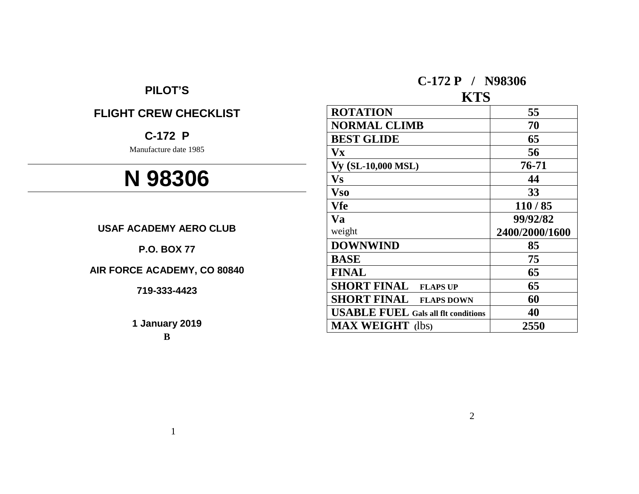## **PILOT'S**

# **FLIGHT CREW CHECKLIST**

# **C-172 P**

Manufacture date 1985

# **N 98306**

**USAF ACADEMY AERO CLUB**

**P.O. BOX 77**

**AIR FORCE ACADEMY, CO 80840**

**719-333-4423**

**1 January 2019**

**B**

**C-172 P / N98306**

# **KTS**

| <b>ROTATION</b>                            | 55             |
|--------------------------------------------|----------------|
| <b>NORMAL CLIMB</b>                        | 70             |
| <b>BEST GLIDE</b>                          | 65             |
| <b>Vx</b>                                  | 56             |
| Vy (SL-10,000 MSL)                         | 76-71          |
| Vs                                         | 44             |
| <b>Vso</b>                                 | 33             |
| Vfe                                        | 110/85         |
| <b>Va</b>                                  | 99/92/82       |
| weight                                     | 2400/2000/1600 |
| <b>DOWNWIND</b>                            | 85             |
| <b>BASE</b>                                | 75             |
| <b>FINAL</b>                               | 65             |
| <b>SHORT FINAL</b><br><b>FLAPS UP</b>      | 65             |
| <b>SHORT FINAL</b><br><b>FLAPS DOWN</b>    | 60             |
| <b>USABLE FUEL Gals all flt conditions</b> | 40             |
| <b>MAX WEIGHT</b> (lbs)                    | 2550           |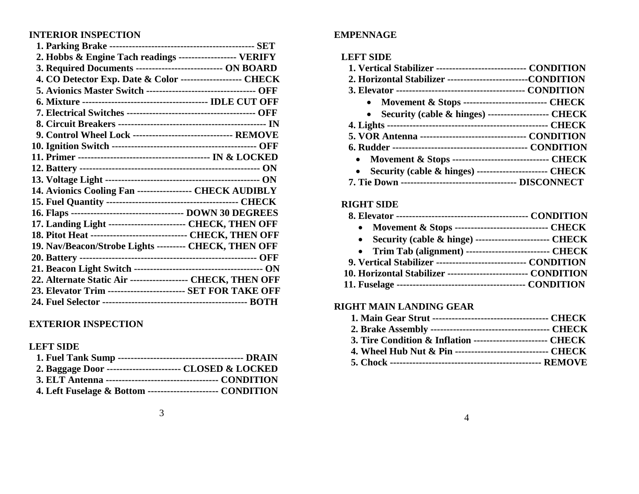## **INTERIOR INSPECTION**

| 2. Hobbs & Engine Tach readings ------------------ VERIFY        |  |
|------------------------------------------------------------------|--|
| 3. Required Documents ----------------------------- ON BOARD     |  |
| 4. CO Detector Exp. Date & Color ------------------- CHECK       |  |
| 5. Avionics Master Switch ---------------------------------- OFF |  |
|                                                                  |  |
|                                                                  |  |
|                                                                  |  |
| 9. Control Wheel Lock ------------------------------- REMOVE     |  |
|                                                                  |  |
|                                                                  |  |
|                                                                  |  |
|                                                                  |  |
| 14. Avionics Cooling Fan ----------------- CHECK AUDIBLY         |  |
|                                                                  |  |
|                                                                  |  |
| 17. Landing Light ------------------------ CHECK, THEN OFF       |  |
| 18. Pitot Heat ------------------------------- CHECK, THEN OFF   |  |
| 19. Nav/Beacon/Strobe Lights --------- CHECK, THEN OFF           |  |
|                                                                  |  |
|                                                                  |  |
| 22. Alternate Static Air ------------------ CHECK, THEN OFF      |  |
| 23. Elevator Trim ------------------------- SET FOR TAKE OFF     |  |
|                                                                  |  |

## **EXTERIOR INSPECTION**

## **LEFT SIDE**

| 2. Baggage Door ------------------------- CLOSED & LOCKED    |  |
|--------------------------------------------------------------|--|
|                                                              |  |
| 4. Left Fuselage & Bottom ------------------------ CONDITION |  |

## **EMPENNAGE**

## **LEFT SIDE**

| 1. Vertical Stabilizer ----------------------------- CONDITION    |  |
|-------------------------------------------------------------------|--|
| 2. Horizontal Stabilizer --------------------------CONDITION      |  |
|                                                                   |  |
| • Movement & Stops ---------------------------- CHECK             |  |
| • Security (cable & hinges) --------------------- CHECK           |  |
|                                                                   |  |
| 5. VOR Antenna ---------------------------------- CONDITION       |  |
|                                                                   |  |
| • Movement & Stops ------------------------------- CHECK          |  |
| Security (cable & hinges) ----------------------- CHECK           |  |
| <b>7. Tie Down ----------------------------------- DISCONNECT</b> |  |

## **RIGHT SIDE**

| • Movement & Stops -------------------------------- CHECK       |  |
|-----------------------------------------------------------------|--|
| • Security (cable $\&$ hinge) -------------------------- CHECK  |  |
| • Trim Tab (alignment) --------------------------- CHECK        |  |
| 9. Vertical Stabilizer ------------------------------ CONDITION |  |
| 10. Horizontal Stabilizer -------------------------- CONDITION  |  |
|                                                                 |  |
|                                                                 |  |

## **RIGHT MAIN LANDING GEAR**

| 3. Tire Condition & Inflation ------------------------- CHECK |  |
|---------------------------------------------------------------|--|
| 4. Wheel Hub Nut & Pin ------------------------------ CHECK   |  |
|                                                               |  |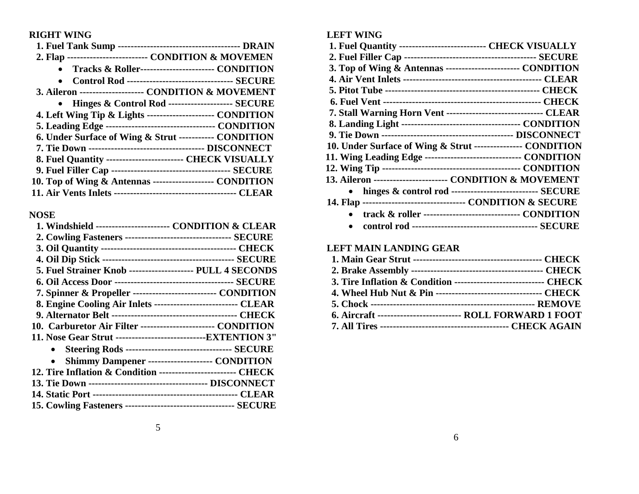## **RIGHT WING**

| 2. Flap -------------------------- CONDITION & MOVEMEN      |
|-------------------------------------------------------------|
| Tracks & Roller------------------------ CONDITION           |
| <b>Control Rod --------------------------------- SECURE</b> |
| 3. Aileron -------------------- CONDITION & MOVEMENT        |
| • Hinges & Control Rod -------------------- SECURE          |
| 4. Left Wing Tip & Lights --------------------- CONDITION   |
|                                                             |
| 6. Under Surface of Wing & Strut ----------- CONDITION      |
|                                                             |
| 8. Fuel Quantity ------------------------- CHECK VISUALLY   |
|                                                             |
| 10. Top of Wing & Antennas ------------------- CONDITION    |
|                                                             |

## **NOSE**

| 1. Windshield ------------------------ CONDITION & CLEAR         |
|------------------------------------------------------------------|
| 2. Cowling Fasteners ---------------------------------- SECURE   |
|                                                                  |
|                                                                  |
| 5. Fuel Strainer Knob -------------------- PULL 4 SECONDS        |
|                                                                  |
| 7. Spinner & Propeller --------------------------- CONDITION     |
| 8. Engine Cooling Air Inlets ---------------------------- CLEAR  |
|                                                                  |
| 10. Carburetor Air Filter ------------------------ CONDITION     |
| 11. Nose Gear Strut --------------------------------EXTENTION 3" |
| • Steering Rods ---------------------------------- SECURE        |
| Shimmy Dampener --------------------- CONDITION                  |
| 12. Tire Inflation & Condition ------------------------ CHECK    |
|                                                                  |
|                                                                  |
|                                                                  |
|                                                                  |

## **LEFT WING**

| 1. Fuel Quantity --------------------------- CHECK VISUALLY       |
|-------------------------------------------------------------------|
|                                                                   |
| 3. Top of Wing & Antennas ------------------------ CONDITION      |
|                                                                   |
|                                                                   |
|                                                                   |
| 7. Stall Warning Horn Vent -------------------------------- CLEAR |
|                                                                   |
|                                                                   |
| 10. Under Surface of Wing & Strut ---------------- CONDITION      |
| 11. Wing Leading Edge ------------------------------ CONDITION    |
|                                                                   |
| 13. Aileron ----------------------- CONDITION & MOVEMENT          |
| hinges & control rod ----------------------------- SECURE         |
| 14. Flap ---------------------------------- CONDITION & SECURE    |
| track & roller ------------------------------- CONDITION          |
|                                                                   |
|                                                                   |

## **LEFT MAIN LANDING GEAR**

| 3. Tire Inflation & Condition ------------------------------ CHECK |  |
|--------------------------------------------------------------------|--|
| 4. Wheel Hub Nut & Pin ---------------------------------- CHECK    |  |
|                                                                    |  |
| 6. Aircraft ---------------------------- ROLL FORWARD 1 FOOT       |  |
|                                                                    |  |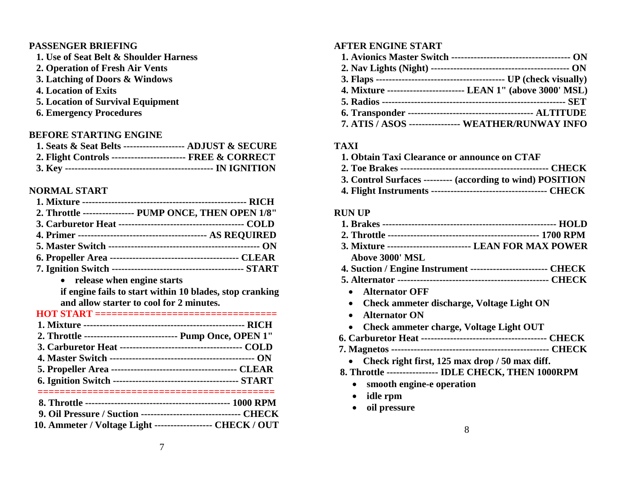#### **PASSENGER BRIEFING**

- **1. Use of Seat Belt & Shoulder Harness**
- **2. Operation of Fresh Air Vents**
- **3. Latching of Doors & Windows**
- **4. Location of Exits**
- **5. Location of Survival Equipment**
- **6. Emergency Procedures**

## **BEFORE STARTING ENGINE**

| 1. Seats & Seat Belts -------------------- ADJUST & SECURE |  |
|------------------------------------------------------------|--|
| 2. Flight Controls ------------------------ FREE & CORRECT |  |
|                                                            |  |

## **NORMAL START**

| 2. Throttle ---------------- PUMP ONCE, THEN OPEN 1/8" |
|--------------------------------------------------------|
|                                                        |
|                                                        |
|                                                        |
|                                                        |
|                                                        |

• **release when engine starts if engine fails to start within 10 blades, stop cranking and allow starter to cool for 2 minutes.**

| HOT START ===========================<br>________ |  | _________ |  |
|---------------------------------------------------|--|-----------|--|
|                                                   |  |           |  |

| 2. Throttle ------------------------------ Pump Once, OPEN 1"   |  |
|-----------------------------------------------------------------|--|
|                                                                 |  |
|                                                                 |  |
|                                                                 |  |
|                                                                 |  |
|                                                                 |  |
| 9. Oil Pressure / Suction ------------------------------- CHECK |  |
| 10. Ammeter / Voltage Light ------------------- CHECK / OUT     |  |

## **AFTER ENGINE START**

| 4. Mixture ------------------------- LEAN 1" (above 3000' MSL) |
|----------------------------------------------------------------|
|                                                                |
|                                                                |
| 7. ATIS / ASOS ---------------- WEATHER/RUNWAY INFO            |

#### **TAXI**

- **1. Obtain Taxi Clearance or announce on CTAF**
- **2. Toe Brakes ---------------------------------------------- CHECK 3. Control Surfaces --------- (according to wind) POSITION**
- **4. Flight Instruments ------------------------------------ CHECK**

#### **RUN UP**

| 3. Mixture -------------------------- LEAN FOR MAX POWER       |
|----------------------------------------------------------------|
| Above 3000' MSL                                                |
| 4. Suction / Engine Instrument ------------------------- CHECK |
|                                                                |
| <b>Alternator OFF</b>                                          |
| <b>Check ammeter discharge, Voltage Light ON</b>               |
| <b>Alternator ON</b>                                           |
| <b>Check ammeter charge, Voltage Light OUT</b>                 |
|                                                                |
|                                                                |
| Check right first, 125 max drop / 50 max diff.                 |
| 8. Throttle ---------------- IDLE CHECK, THEN 1000RPM          |
| smooth engine-e operation                                      |
| idle rpm                                                       |
| oil pressure                                                   |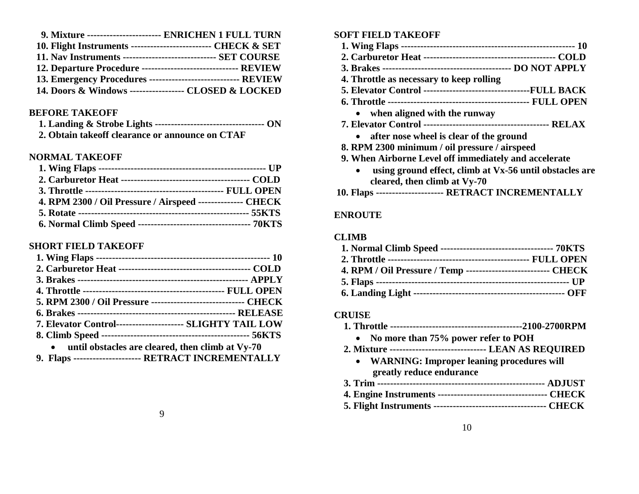| 9. Mixture ------------------------ ENRICHEN 1 FULL TURN         |
|------------------------------------------------------------------|
| 10. Flight Instruments --------------------------- CHECK & SET   |
| 11. Nav Instruments --------------------------------- SET COURSE |
| 12. Departure Procedure -------------------------------- REVIEW  |
| 13. Emergency Procedures ------------------------------ REVIEW   |
| 14. Doors & Windows ------------------ CLOSED & LOCKED           |

#### **BEFORE TAKEOFF**

| 2. Obtain take off clearance or announce on CTAF |  |
|--------------------------------------------------|--|

#### **NORMAL TAKEOFF**

| 4. RPM 2300 / Oil Pressure / Airspeed -------------- CHECK |  |
|------------------------------------------------------------|--|
|                                                            |  |
|                                                            |  |

#### **SHORT FIELD TAKEOFF**

| 5. RPM 2300 / Oil Pressure ------------------------------ CHECK |
|-----------------------------------------------------------------|
|                                                                 |
| 7. Elevator Control--------------------- SLIGHTY TAIL LOW       |
|                                                                 |
| • until obstacles are cleared, then climb at Vy-70              |
| 9. Flaps --------------------- RETRACT INCREMENTALLY            |

#### **SOFT FIELD TAKEOFF**

- **1. Wing Flaps ------------------------------------------------------ 10**
- **2. Carburetor Heat ----------------------------------------- COLD**
- **3. Brakes ---------------------------------------- DO NOT APPLY**
- **4. Throttle as necessary to keep rolling**
- **5. Elevator Control ---------------------------------FULL BACK**
- **6. Throttle -------------------------------------------- FULL OPEN**
	- **when aligned with the runway**
- **7. Elevator Control --------------------------------------- RELAX**
	- **after nose wheel is clear of the ground**
- **8. RPM 2300 minimum / oil pressure / airspeed**
- **9. When Airborne Level off immediately and accelerate** 
	- **using ground effect, climb at Vx-56 until obstacles are cleared, then climb at Vy-70**

#### **10. Flaps --------------------- RETRACT INCREMENTALLY**

#### **ENROUTE**

#### **CLIMB**

| 4. RPM / Oil Pressure / Temp --------------------------- CHECK |  |
|----------------------------------------------------------------|--|
|                                                                |  |
|                                                                |  |

#### **CRUISE**

- **1. Throttle -----------------------------------------2100-2700RPM**
	- **No more than 75% power refer to POH**
- **2. Mixture ------------------------------ LEAN AS REQUIRED**
	- **WARNING: Improper leaning procedures will greatly reduce endurance**
- **3. Trim ---------------------------------------------------- ADJUST**
- **4. Engine Instruments ---------------------------------- CHECK**
- **5. Flight Instruments ----------------------------------- CHECK**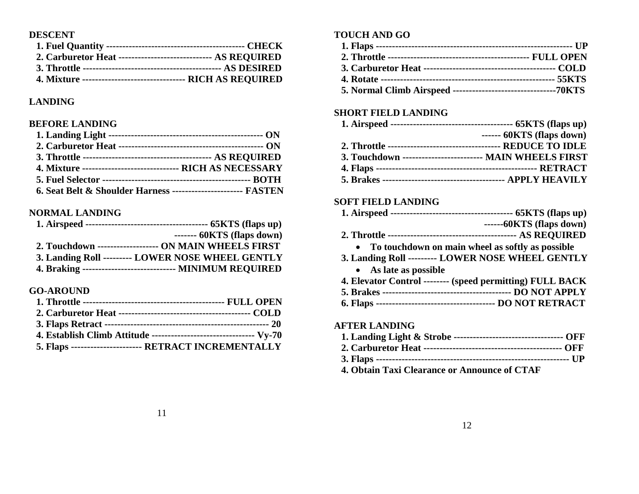#### **DESCENT**

| 2. Carburetor Heat ------------------------------ AS REQUIRED  |  |
|----------------------------------------------------------------|--|
|                                                                |  |
| 4. Mixture ---------------------------------- RICH AS REQUIRED |  |

## **LANDING**

## **BEFORE LANDING**

| 4. Mixture -------------------------------- RICH AS NECESSARY   |  |
|-----------------------------------------------------------------|--|
|                                                                 |  |
| 6. Seat Belt & Shoulder Harness ------------------------ FASTEN |  |

## **NORMAL LANDING**

| $--- 60KTS$ (flaps down)                                  |
|-----------------------------------------------------------|
| 2. Touchdown -------------------- ON MAIN WHEELS FIRST    |
| 3. Landing Roll --------- LOWER NOSE WHEEL GENTLY         |
| 4. Braking ----------------------------- MINIMUM REQUIRED |

## **GO-AROUND**

| 4. Establish Climb Attitude --------------------------------- Vy-70 |  |
|---------------------------------------------------------------------|--|
| 5. Flaps ---------------------- RETRACT INCREMENTALLY               |  |

## **TOUCH AND GO**

## **SHORT FIELD LANDING**

|                                                          | $--- 60KTS$ (flaps down) |
|----------------------------------------------------------|--------------------------|
|                                                          |                          |
| 3. Touchdown ------------------------- MAIN WHEELS FIRST |                          |
|                                                          |                          |
|                                                          |                          |

#### **SOFT FIELD LANDING**

|                                                           | $---60KTS$ (flaps down) |
|-----------------------------------------------------------|-------------------------|
|                                                           |                         |
| To touchdown on main wheel as softly as possible          |                         |
| 3. Landing Roll --------- LOWER NOSE WHEEL GENTLY         |                         |
| • As late as possible                                     |                         |
| 4. Elevator Control -------- (speed permitting) FULL BACK |                         |
|                                                           |                         |
|                                                           |                         |
| <b>AFTER LANDING</b>                                      |                         |
|                                                           |                         |

**4. Obtain Taxi Clearance or Announce of CTAF**